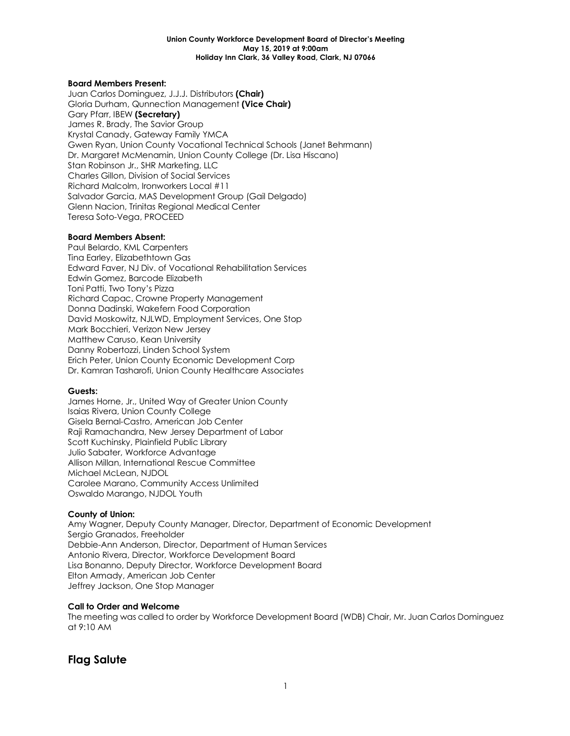#### **Union County Workforce Development Board of Director's Meeting May 15, 2019 at 9:00am Holiday Inn Clark, 36 Valley Road, Clark, NJ 07066**

#### **Board Members Present:**

Juan Carlos Dominguez, J.J.J. Distributors **(Chair)** Gloria Durham, Qunnection Management **(Vice Chair)** Gary Pfarr, IBEW **(Secretary)** James R. Brady, The Savior Group Krystal Canady, Gateway Family YMCA Gwen Ryan, Union County Vocational Technical Schools (Janet Behrmann) Dr. Margaret McMenamin, Union County College (Dr. Lisa Hiscano) Stan Robinson Jr., SHR Marketing, LLC Charles Gillon, Division of Social Services Richard Malcolm, Ironworkers Local #11 Salvador Garcia, MAS Development Group (Gail Delgado) Glenn Nacion, Trinitas Regional Medical Center Teresa Soto-Vega, PROCEED

#### **Board Members Absent:**

Paul Belardo, KML Carpenters Tina Earley, Elizabethtown Gas Edward Faver, NJ Div. of Vocational Rehabilitation Services Edwin Gomez, Barcode Elizabeth Toni Patti, Two Tony's Pizza Richard Capac, Crowne Property Management Donna Dadinski, Wakefern Food Corporation David Moskowitz, NJLWD, Employment Services, One Stop Mark Bocchieri, Verizon New Jersey Matthew Caruso, Kean University Danny Robertozzi, Linden School System Erich Peter, Union County Economic Development Corp Dr. Kamran Tasharofi, Union County Healthcare Associates

#### **Guests:**

James Horne, Jr., United Way of Greater Union County Isaias Rivera, Union County College Gisela Bernal-Castro, American Job Center Raji Ramachandra, New Jersey Department of Labor Scott Kuchinsky, Plainfield Public Library Julio Sabater, Workforce Advantage Allison Millan, International Rescue Committee Michael McLean, NJDOL Carolee Marano, Community Access Unlimited Oswaldo Marango, NJDOL Youth

#### **County of Union:**

Amy Wagner, Deputy County Manager, Director, Department of Economic Development Sergio Granados, Freeholder Debbie-Ann Anderson, Director, Department of Human Services Antonio Rivera, Director, Workforce Development Board Lisa Bonanno, Deputy Director, Workforce Development Board Elton Armady, American Job Center Jeffrey Jackson, One Stop Manager

#### **Call to Order and Welcome**

The meeting was called to order by Workforce Development Board (WDB) Chair, Mr. Juan Carlos Dominguez at 9:10 AM

#### **Flag Salute**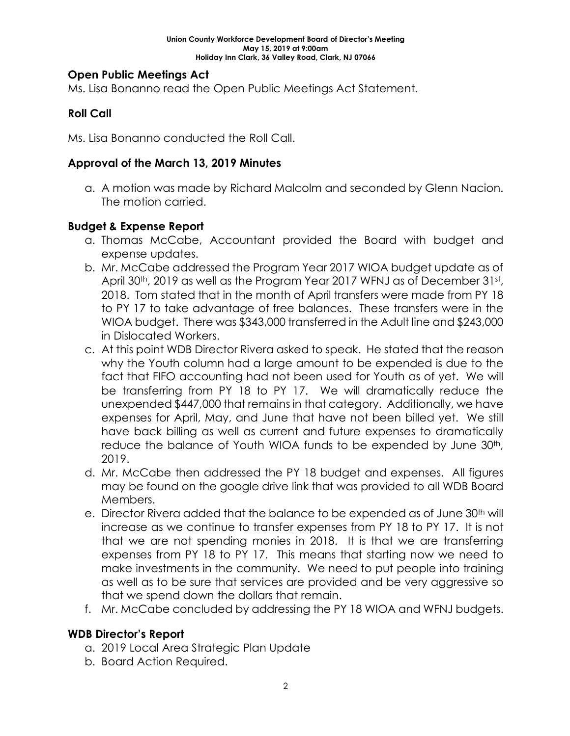### **Open Public Meetings Act**

Ms. Lisa Bonanno read the Open Public Meetings Act Statement.

### **Roll Call**

Ms. Lisa Bonanno conducted the Roll Call.

#### **Approval of the March 13, 2019 Minutes**

a. A motion was made by Richard Malcolm and seconded by Glenn Nacion. The motion carried.

### **Budget & Expense Report**

- a. Thomas McCabe, Accountant provided the Board with budget and expense updates.
- b. Mr. McCabe addressed the Program Year 2017 WIOA budget update as of April 30<sup>th</sup>, 2019 as well as the Program Year 2017 WFNJ as of December 31st, 2018. Tom stated that in the month of April transfers were made from PY 18 to PY 17 to take advantage of free balances. These transfers were in the WIOA budget. There was \$343,000 transferred in the Adult line and \$243,000 in Dislocated Workers.
- c. At this point WDB Director Rivera asked to speak. He stated that the reason why the Youth column had a large amount to be expended is due to the fact that FIFO accounting had not been used for Youth as of yet. We will be transferring from PY 18 to PY 17. We will dramatically reduce the unexpended \$447,000 that remains in that category. Additionally, we have expenses for April, May, and June that have not been billed yet. We still have back billing as well as current and future expenses to dramatically reduce the balance of Youth WIOA funds to be expended by June 30th, 2019.
- d. Mr. McCabe then addressed the PY 18 budget and expenses. All figures may be found on the google drive link that was provided to all WDB Board Members.
- e. Director Rivera added that the balance to be expended as of June 30<sup>th</sup> will increase as we continue to transfer expenses from PY 18 to PY 17. It is not that we are not spending monies in 2018. It is that we are transferring expenses from PY 18 to PY 17. This means that starting now we need to make investments in the community. We need to put people into training as well as to be sure that services are provided and be very aggressive so that we spend down the dollars that remain.
- f. Mr. McCabe concluded by addressing the PY 18 WIOA and WFNJ budgets.

#### **WDB Director's Report**

- a. 2019 Local Area Strategic Plan Update
- b. Board Action Required.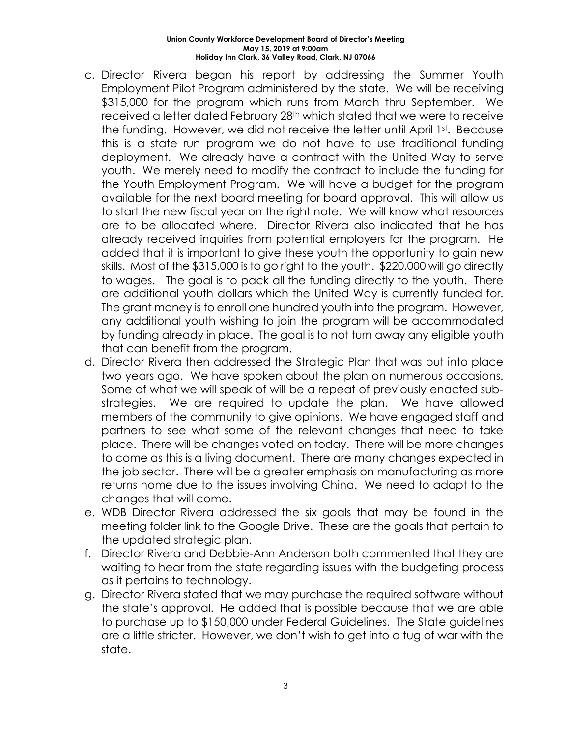#### **Union County Workforce Development Board of Director's Meeting May 15, 2019 at 9:00am Holiday Inn Clark, 36 Valley Road, Clark, NJ 07066**

- c. Director Rivera began his report by addressing the Summer Youth Employment Pilot Program administered by the state. We will be receiving \$315,000 for the program which runs from March thru September. We received a letter dated February 28th which stated that we were to receive the funding. However, we did not receive the letter until April 1st. Because this is a state run program we do not have to use traditional funding deployment. We already have a contract with the United Way to serve youth. We merely need to modify the contract to include the funding for the Youth Employment Program. We will have a budget for the program available for the next board meeting for board approval. This will allow us to start the new fiscal year on the right note. We will know what resources are to be allocated where. Director Rivera also indicated that he has already received inquiries from potential employers for the program. He added that it is important to give these youth the opportunity to gain new skills. Most of the \$315,000 is to go right to the youth. \$220,000 will go directly to wages. The goal is to pack all the funding directly to the youth. There are additional youth dollars which the United Way is currently funded for. The grant money is to enroll one hundred youth into the program. However, any additional youth wishing to join the program will be accommodated by funding already in place. The goal is to not turn away any eligible youth that can benefit from the program.
- d. Director Rivera then addressed the Strategic Plan that was put into place two years ago. We have spoken about the plan on numerous occasions. Some of what we will speak of will be a repeat of previously enacted substrategies. We are required to update the plan. We have allowed members of the community to give opinions. We have engaged staff and partners to see what some of the relevant changes that need to take place. There will be changes voted on today. There will be more changes to come as this is a living document. There are many changes expected in the job sector. There will be a greater emphasis on manufacturing as more returns home due to the issues involving China. We need to adapt to the changes that will come.
- e. WDB Director Rivera addressed the six goals that may be found in the meeting folder link to the Google Drive. These are the goals that pertain to the updated strategic plan.
- f. Director Rivera and Debbie-Ann Anderson both commented that they are waiting to hear from the state regarding issues with the budgeting process as it pertains to technology.
- g. Director Rivera stated that we may purchase the required software without the state's approval. He added that is possible because that we are able to purchase up to \$150,000 under Federal Guidelines. The State guidelines are a little stricter. However, we don't wish to get into a tug of war with the state.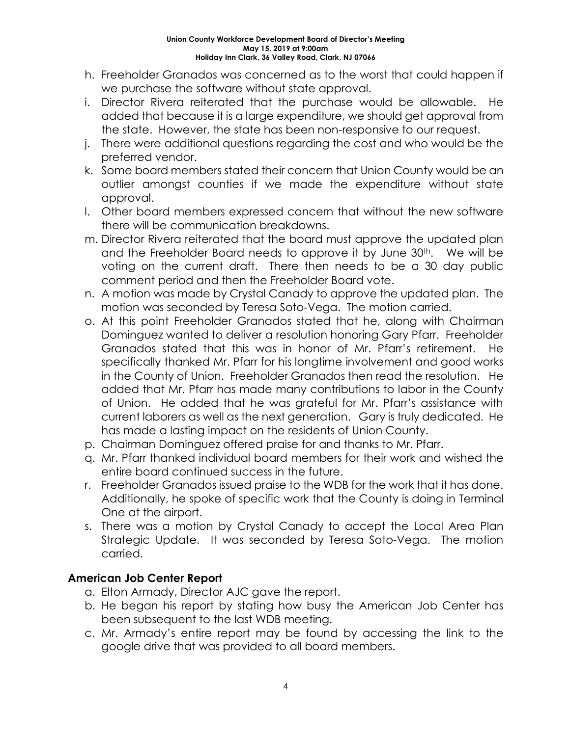- h. Freeholder Granados was concerned as to the worst that could happen if we purchase the software without state approval.
- i. Director Rivera reiterated that the purchase would be allowable. He added that because it is a large expenditure, we should get approval from the state. However, the state has been non-responsive to our request.
- j. There were additional questions regarding the cost and who would be the preferred vendor.
- k. Some board members stated their concern that Union County would be an outlier amongst counties if we made the expenditure without state approval.
- l. Other board members expressed concern that without the new software there will be communication breakdowns.
- m. Director Rivera reiterated that the board must approve the updated plan and the Freeholder Board needs to approve it by June 30<sup>th</sup>. We will be voting on the current draft. There then needs to be a 30 day public comment period and then the Freeholder Board vote.
- n. A motion was made by Crystal Canady to approve the updated plan. The motion was seconded by Teresa Soto-Vega. The motion carried.
- o. At this point Freeholder Granados stated that he, along with Chairman Dominguez wanted to deliver a resolution honoring Gary Pfarr. Freeholder Granados stated that this was in honor of Mr. Pfarr's retirement. He specifically thanked Mr. Pfarr for his longtime involvement and good works in the County of Union. Freeholder Granados then read the resolution. He added that Mr. Pfarr has made many contributions to labor in the County of Union. He added that he was grateful for Mr. Pfarr's assistance with current laborers as well as the next generation. Gary is truly dedicated. He has made a lasting impact on the residents of Union County.
- p. Chairman Dominguez offered praise for and thanks to Mr. Pfarr.
- q. Mr. Pfarr thanked individual board members for their work and wished the entire board continued success in the future.
- r. Freeholder Granados issued praise to the WDB for the work that it has done. Additionally, he spoke of specific work that the County is doing in Terminal One at the airport.
- s. There was a motion by Crystal Canady to accept the Local Area Plan Strategic Update. It was seconded by Teresa Soto-Vega. The motion carried.

# **American Job Center Report**

- a. Elton Armady, Director AJC gave the report.
- b. He began his report by stating how busy the American Job Center has been subsequent to the last WDB meeting.
- c. Mr. Armady's entire report may be found by accessing the link to the google drive that was provided to all board members.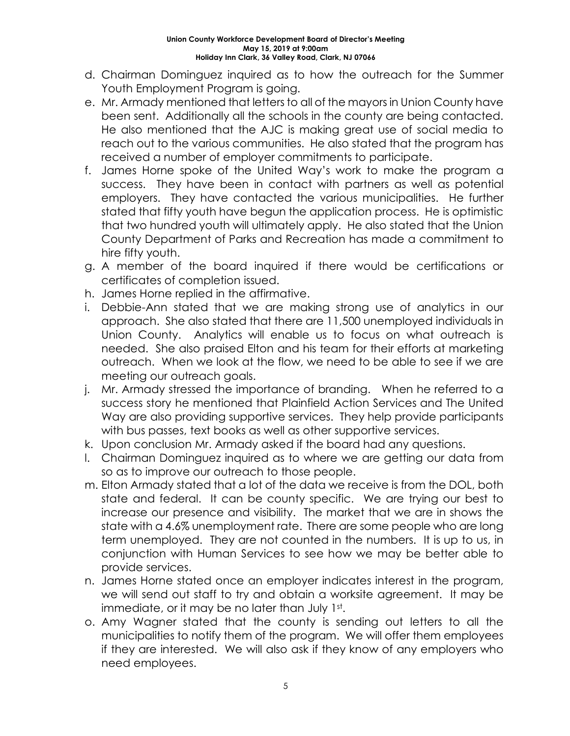- d. Chairman Dominguez inquired as to how the outreach for the Summer Youth Employment Program is going.
- e. Mr. Armady mentioned that letters to all of the mayors in Union County have been sent. Additionally all the schools in the county are being contacted. He also mentioned that the AJC is making great use of social media to reach out to the various communities. He also stated that the program has received a number of employer commitments to participate.
- f. James Horne spoke of the United Way's work to make the program a success. They have been in contact with partners as well as potential employers. They have contacted the various municipalities. He further stated that fifty youth have begun the application process. He is optimistic that two hundred youth will ultimately apply. He also stated that the Union County Department of Parks and Recreation has made a commitment to hire fifty youth.
- g. A member of the board inquired if there would be certifications or certificates of completion issued.
- h. James Horne replied in the affirmative.
- i. Debbie-Ann stated that we are making strong use of analytics in our approach. She also stated that there are 11,500 unemployed individuals in Union County. Analytics will enable us to focus on what outreach is needed. She also praised Elton and his team for their efforts at marketing outreach. When we look at the flow, we need to be able to see if we are meeting our outreach goals.
- j. Mr. Armady stressed the importance of branding. When he referred to a success story he mentioned that Plainfield Action Services and The United Way are also providing supportive services. They help provide participants with bus passes, text books as well as other supportive services.
- k. Upon conclusion Mr. Armady asked if the board had any questions.
- l. Chairman Dominguez inquired as to where we are getting our data from so as to improve our outreach to those people.
- m. Elton Armady stated that a lot of the data we receive is from the DOL, both state and federal. It can be county specific. We are trying our best to increase our presence and visibility. The market that we are in shows the state with a 4.6% unemployment rate. There are some people who are long term unemployed. They are not counted in the numbers. It is up to us, in conjunction with Human Services to see how we may be better able to provide services.
- n. James Horne stated once an employer indicates interest in the program, we will send out staff to try and obtain a worksite agreement. It may be immediate, or it may be no later than July 1st.
- o. Amy Wagner stated that the county is sending out letters to all the municipalities to notify them of the program. We will offer them employees if they are interested. We will also ask if they know of any employers who need employees.